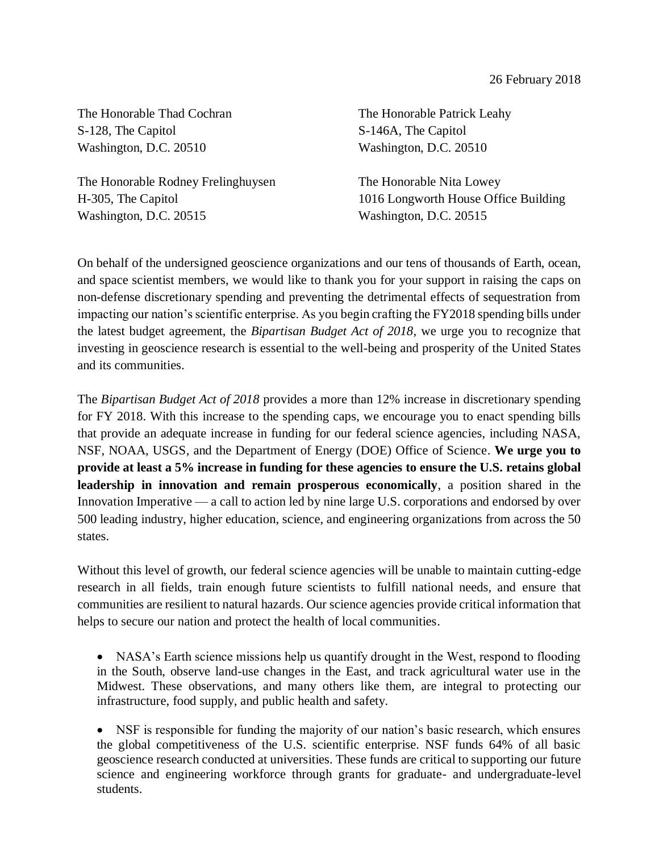The Honorable Thad Cochran The Honorable Patrick Leahy S-128, The Capitol S-146A, The Capitol Washington, D.C. 20510 Washington, D.C. 20510

The Honorable Rodney Frelinghuysen The Honorable Nita Lowey Washington, D.C. 20515 Washington, D.C. 20515

H-305, The Capitol 1016 Longworth House Office Building

On behalf of the undersigned geoscience organizations and our tens of thousands of Earth, ocean, and space scientist members, we would like to thank you for your support in raising the caps on non-defense discretionary spending and preventing the detrimental effects of sequestration from impacting our nation's scientific enterprise. As you begin crafting the FY2018 spending bills under the latest budget agreement, the *Bipartisan Budget Act of 2018*, we urge you to recognize that investing in geoscience research is essential to the well-being and prosperity of the United States and its communities.

The *Bipartisan Budget Act of 2018* provides a more than 12% increase in discretionary spending for FY 2018. With this increase to the spending caps, we encourage you to enact spending bills that provide an adequate increase in funding for our federal science agencies, including NASA, NSF, NOAA, USGS, and the Department of Energy (DOE) Office of Science. **We urge you to provide at least a 5% increase in funding for these agencies to ensure the U.S. retains global leadership in innovation and remain prosperous economically**, a position shared in the Innovation Imperative — a call to action led by nine large U.S. corporations and endorsed by over 500 leading industry, higher education, science, and engineering organizations from across the 50 states.

Without this level of growth, our federal science agencies will be unable to maintain cutting-edge research in all fields, train enough future scientists to fulfill national needs, and ensure that communities are resilient to natural hazards. Our science agencies provide critical information that helps to secure our nation and protect the health of local communities.

• NASA's Earth science missions help us quantify drought in the West, respond to flooding in the South, observe land-use changes in the East, and track agricultural water use in the Midwest. These observations, and many others like them, are integral to protecting our infrastructure, food supply, and public health and safety.

• NSF is responsible for funding the majority of our nation's basic research, which ensures the global competitiveness of the U.S. scientific enterprise. NSF funds 64% of all basic geoscience research conducted at universities. These funds are critical to supporting our future science and engineering workforce through grants for graduate- and undergraduate-level students.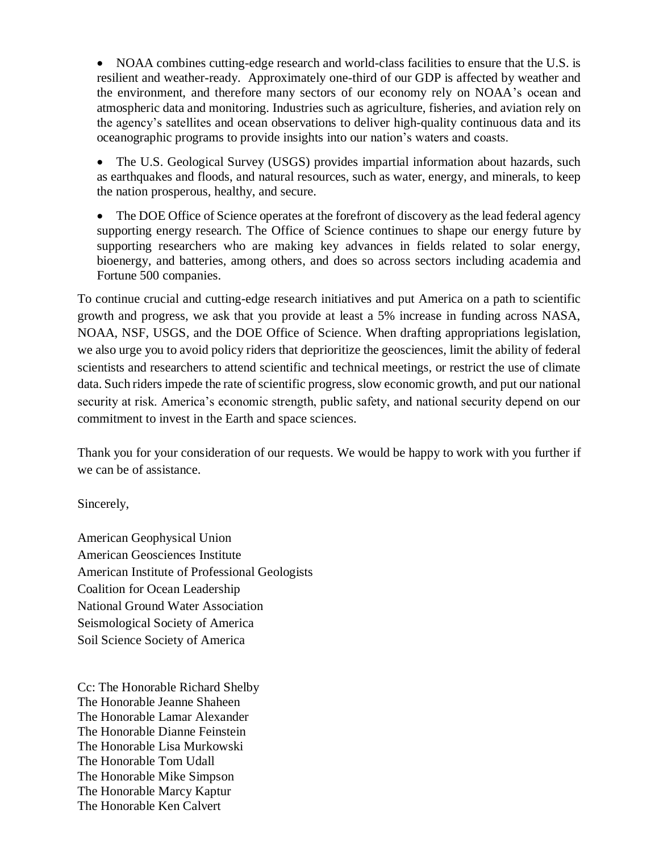• NOAA combines cutting-edge research and world-class facilities to ensure that the U.S. is resilient and weather-ready. Approximately one-third of our GDP is affected by weather and the environment, and therefore many sectors of our economy rely on NOAA's ocean and atmospheric data and monitoring. Industries such as agriculture, fisheries, and aviation rely on the agency's satellites and ocean observations to deliver high-quality continuous data and its oceanographic programs to provide insights into our nation's waters and coasts.

• The U.S. Geological Survey (USGS) provides impartial information about hazards, such as earthquakes and floods, and natural resources, such as water, energy, and minerals, to keep the nation prosperous, healthy, and secure.

• The DOE Office of Science operates at the forefront of discovery as the lead federal agency supporting energy research. The Office of Science continues to shape our energy future by supporting researchers who are making key advances in fields related to solar energy, bioenergy, and batteries, among others, and does so across sectors including academia and Fortune 500 companies.

To continue crucial and cutting-edge research initiatives and put America on a path to scientific growth and progress, we ask that you provide at least a 5% increase in funding across NASA, NOAA, NSF, USGS, and the DOE Office of Science. When drafting appropriations legislation, we also urge you to avoid policy riders that deprioritize the geosciences, limit the ability of federal scientists and researchers to attend scientific and technical meetings, or restrict the use of climate data. Such riders impede the rate of scientific progress, slow economic growth, and put our national security at risk. America's economic strength, public safety, and national security depend on our commitment to invest in the Earth and space sciences.

Thank you for your consideration of our requests. We would be happy to work with you further if we can be of assistance.

Sincerely,

American Geophysical Union American Geosciences Institute American Institute of Professional Geologists Coalition for Ocean Leadership National Ground Water Association Seismological Society of America Soil Science Society of America

Cc: The Honorable Richard Shelby The Honorable Jeanne Shaheen The Honorable Lamar Alexander The Honorable Dianne Feinstein The Honorable Lisa Murkowski The Honorable Tom Udall The Honorable Mike Simpson The Honorable Marcy Kaptur The Honorable Ken Calvert